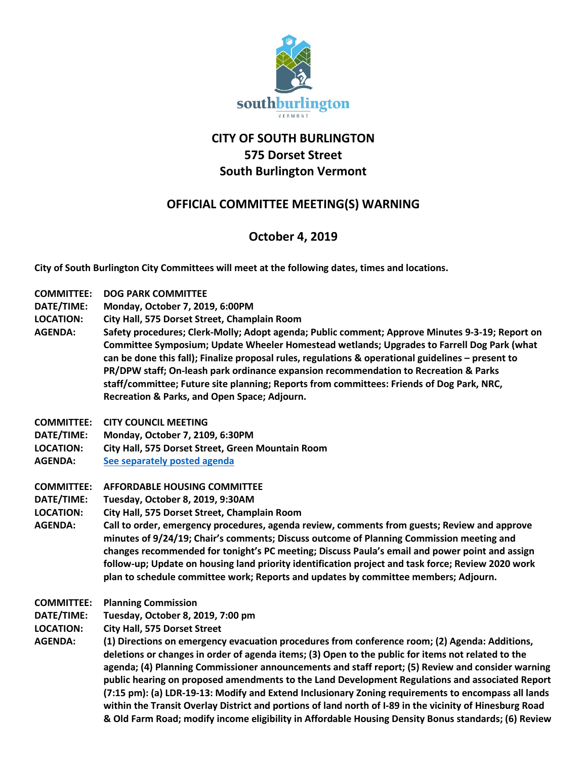

# **CITY OF SOUTH BURLINGTON 575 Dorset Street South Burlington Vermont**

### **OFFICIAL COMMITTEE MEETING(S) WARNING**

## **October 4, 2019**

**City of South Burlington City Committees will meet at the following dates, times and locations.** 

- **COMMITTEE: DOG PARK COMMITTEE**
- **DATE/TIME: Monday, October 7, 2019, 6:00PM**
- **LOCATION: City Hall, 575 Dorset Street, Champlain Room**
- **AGENDA: Safety procedures; Clerk-Molly; Adopt agenda; Public comment; Approve Minutes 9-3-19; Report on Committee Symposium; Update Wheeler Homestead wetlands; Upgrades to Farrell Dog Park (what can be done this fall); Finalize proposal rules, regulations & operational guidelines – present to PR/DPW staff; On-leash park ordinance expansion recommendation to Recreation & Parks staff/committee; Future site planning; Reports from committees: Friends of Dog Park, NRC, Recreation & Parks, and Open Space; Adjourn.**
- **COMMITTEE: CITY COUNCIL MEETING**
- **DATE/TIME: Monday, October 7, 2109, 6:30PM**
- **LOCATION: City Hall, 575 Dorset Street, Green Mountain Room**
- **AGENDA: [See separately posted agenda](http://sbvt-records.info/WebLink/ElectronicFile.aspx?docid=62060&dbid=0&repo=sburl)**
- **COMMITTEE: AFFORDABLE HOUSING COMMITTEE**
- **DATE/TIME: Tuesday, October 8, 2019, 9:30AM**
- **LOCATION: City Hall, 575 Dorset Street, Champlain Room**
- **AGENDA: Call to order, emergency procedures, agenda review, comments from guests; Review and approve minutes of 9/24/19; Chair's comments; Discuss outcome of Planning Commission meeting and changes recommended for tonight's PC meeting; Discuss Paula's email and power point and assign follow-up; Update on housing land priority identification project and task force; Review 2020 work plan to schedule committee work; Reports and updates by committee members; Adjourn.**
- **COMMITTEE: Planning Commission**
- **DATE/TIME: Tuesday, October 8, 2019, 7:00 pm**
- **LOCATION: City Hall, 575 Dorset Street**
- **AGENDA: (1) Directions on emergency evacuation procedures from conference room; (2) Agenda: Additions, deletions or changes in order of agenda items; (3) Open to the public for items not related to the agenda; (4) Planning Commissioner announcements and staff report; (5) Review and consider warning public hearing on proposed amendments to the Land Development Regulations and associated Report (7:15 pm): (a) LDR-19-13: Modify and Extend Inclusionary Zoning requirements to encompass all lands within the Transit Overlay District and portions of land north of I-89 in the vicinity of Hinesburg Road & Old Farm Road; modify income eligibility in Affordable Housing Density Bonus standards; (6) Review**